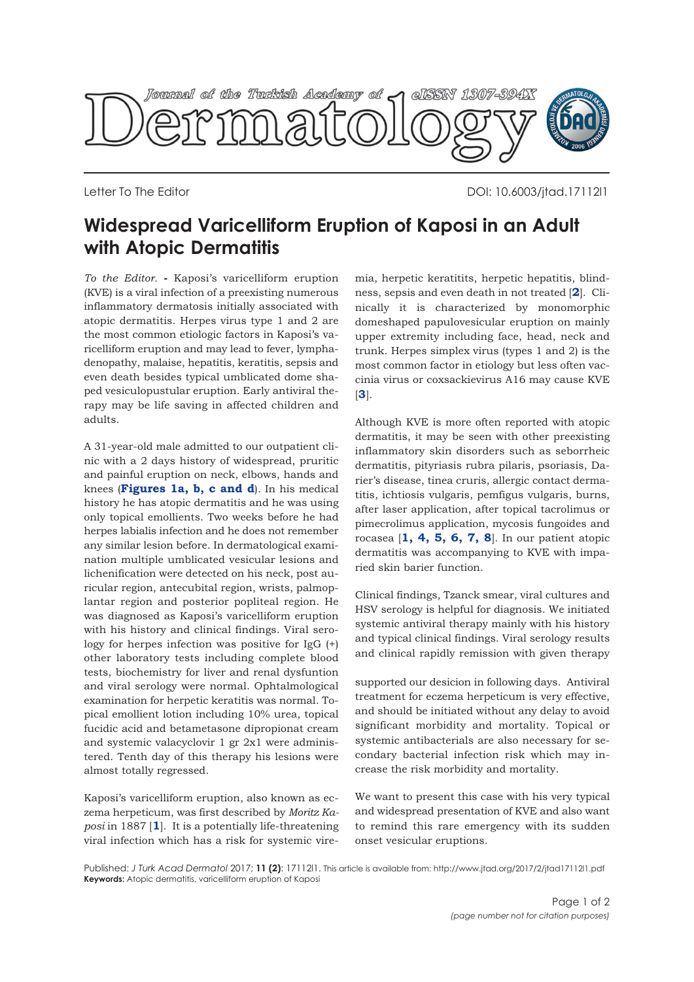

Letter To The Editor DOI: 10.6003/jtad.17112l1

## **Widespread Varicelliform Eruption of Kaposi in an Adult with Atopic Dermatitis**

*To the Editor.* **-** Kaposi's varicelliform eruption (KVE) is a viral infection of a preexisting numerous inflammatory dermatosis initially associated with atopic dermatitis. Herpes virus type 1 and 2 are the most common etiologic factors in Kaposi's varicelliform eruption and may lead to fever, lymphadenopathy, malaise, hepatitis, keratitis, sepsis and even death besides typical umblicated dome shaped vesiculopustular eruption. Early antiviral therapy may be life saving in affected children and adults.

A 31-year-old male admitted to our outpatient clinic with a 2 days history of widespread, pruritic and painful eruption on neck, elbows, hands and knees (**[Figures 1a, b, c and d](#page-1-0)**). In his medical history he has atopic dermatitis and he was using only topical emollients. Two weeks before he had herpes labialis infection and he does not remember any similar lesion before. In dermatological examination multiple umblicated vesicular lesions and lichenification were detected on his neck, post auricular region, antecubital region, wrists, palmoplantar region and posterior popliteal region. He was diagnosed as Kaposi's varicelliform eruption with his history and clinical findings. Viral serology for herpes infection was positive for IgG (+) other laboratory tests including complete blood tests, biochemistry for liver and renal dysfuntion and viral serology were normal. Ophtalmological examination for herpetic keratitis was normal. Topical emollient lotion including 10% urea, topical fucidic acid and betametasone dipropionat cream and systemic valacyclovir 1 gr 2x1 were administered. Tenth day of this therapy his lesions were almost totally regressed.

Kaposi's varicelliform eruption, also known as eczema herpeticum, was first described by *Moritz Kaposi* in 1887 [**[1](#page-1-0)**]. It is a potentially life-threatening viral infection which has a risk for systemic viremia, herpetic keratitits, herpetic hepatitis, blindness, sepsis and even death in not treated [**[2](#page-1-0)**]. Clinically it is characterized by monomorphic domeshaped papulovesicular eruption on mainly upper extremity including face, head, neck and trunk. Herpes simplex virus (types 1 and 2) is the most common factor in etiology but less often vaccinia virus or coxsackievirus A16 may cause KVE [**[3](#page-1-0)**].

Although KVE is more often reported with atopic dermatitis, it may be seen with other preexisting inflammatory skin disorders such as seborrheic dermatitis, pityriasis rubra pilaris, psoriasis, Darier's disease, tinea cruris, allergic contact dermatitis, ichtiosis vulgaris, pemfigus vulgaris, burns, after laser application, after topical tacrolimus or pimecrolimus application, mycosis fungoides and rocasea [**1, [4](#page-1-0), [5](#page-1-0), [6,](#page-1-0) [7, 8](#page-1-0)**]. In our patient atopic dermatitis was accompanying to KVE with imparied skin barier function.

Clinical findings, Tzanck smear, viral cultures and HSV serology is helpful for diagnosis. We initiated systemic antiviral therapy mainly with his history and typical clinical findings. Viral serology results and clinical rapidly remission with given therapy

supported our desicion in following days. Antiviral treatment for eczema herpeticum is very effective, and should be initiated without any delay to avoid significant morbidity and mortality. Topical or systemic antibacterials are also necessary for secondary bacterial infection risk which may increase the risk morbidity and mortality.

We want to present this case with his very typical and widespread presentation of KVE and also want to remind this rare emergency with its sudden onset vesicular eruptions.

Published: *J Turk Acad Dermatol* 2017; **11 (2)**: 17112l1. This article is available from: http://www.jtad.org/2017/2/jtad17112l1.pdf **Keywords:** Atopic dermatitis, varicelliform eruption of Kaposi